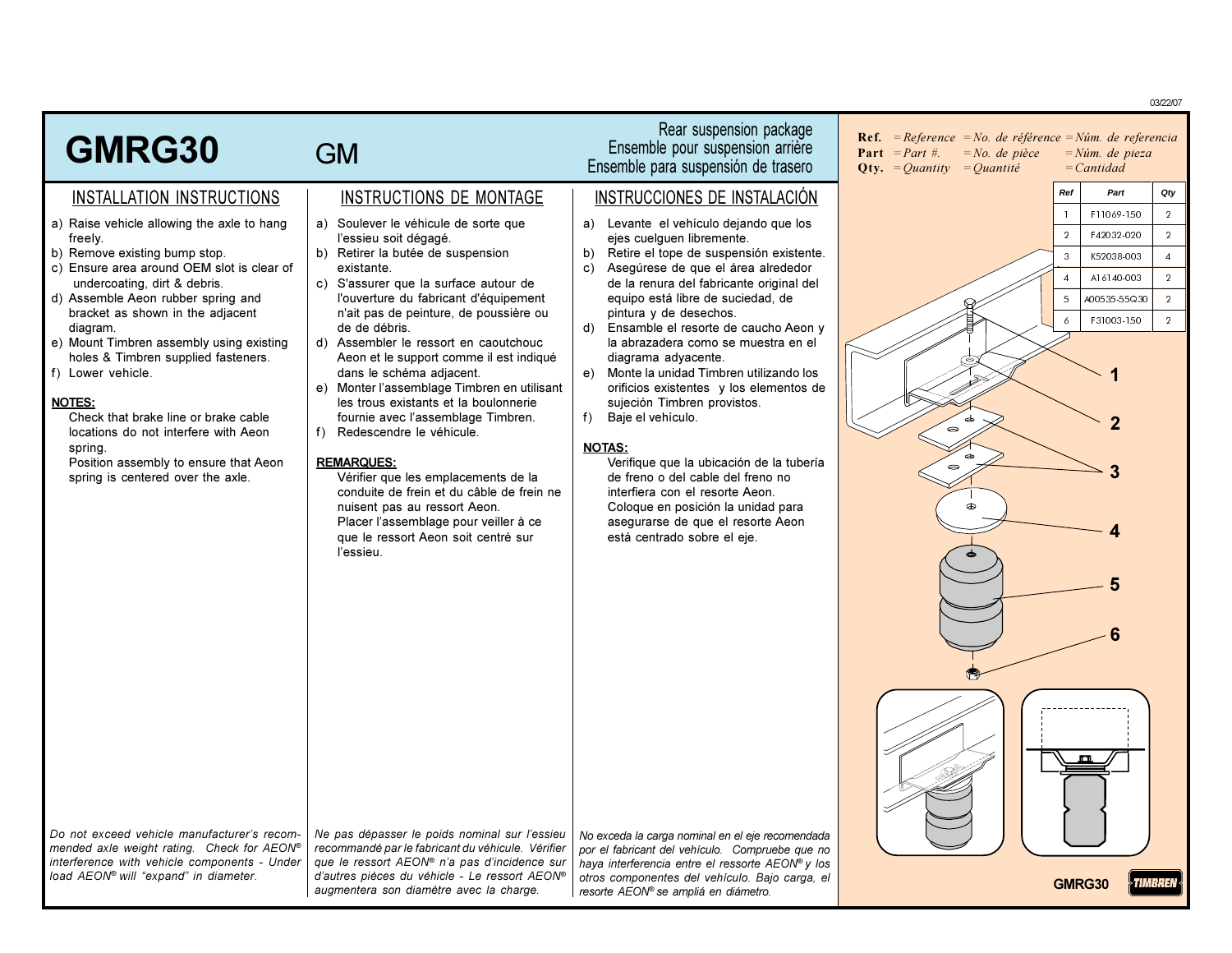Rear suspension package **Ref.** = Reference = No. de référence = Núm. de referencia GMRG30 Ensemble pour suspension arrière **GM Part** = *Part* #.  $= No.$  de pièce  $=N$ úm. de pieza Ensemble para suspensión de trasero **Oty.** = *Quantity* = *Quantité*  $= Cantidad$ Qty  $P<sub>0</sub>$ **Dart** INSTRUCTIONS DE MONTAGE INSTRUCCIONES DE INSTALACIÓN INSTALLATION INSTRUCTIONS F11069-150  $\overline{2}$ a) Raise vehicle allowing the axle to hang a) Soulever le véhicule de sorte que a) Levante el vehículo dejando que los  $\overline{2}$ F42032-020  $\overline{2}$ freely. l'essieu soit dégagé. eies cuelquen libremente. b) Remove existing bump stop. b) Retirer la butée de suspension  $b)$ Retire el tope de suspensión existente.  $\overline{3}$ K52038-003  $\overline{4}$ c) Ensure area around OEM slot is clear of Aseqúrese de que el área alrededor existante. c) A16140-003  $\overline{2}$ c) S'assurer que la surface autour de undercoating, dirt & debris. de la renura del fabricante original del d) Assemble Aeon rubber spring and l'ouverture du fabricant d'équipement equipo está libre de suciedad, de  $\overline{5}$ A00535-55Q30  $\overline{2}$ bracket as shown in the adjacent n'ait pas de peinture, de poussière ou pintura y de desechos. F31003-150  $\overline{2}$  $\overline{6}$ diagram. de de débris  $(<sub>b</sub>)$ Ensamble el resorte de caucho Aeon y e) Mount Timbren assembly using existing d) Assembler le ressort en caoutchouc la abrazadera como se muestra en el holes & Timbren supplied fasteners. Aeon et le support comme il est indiqué diagrama advacente. f) Lower vehicle. dans le schéma adjacent.  $e)$ Monte la unidad Timbren utilizando los e) Monter l'assemblage Timbren en utilisant orificios existentes v los elementos de **NOTES:** les trous existants et la boulonnerie suieción Timbren provistos. Check that brake line or brake cable fournie avec l'assemblage Timbren. Baje el vehículo.  $f$ ) locations do not interfere with Aeon f) Redescendre le véhicule. spring **NOTAS:** Position assembly to ensure that Aeon Verifique que la ubicación de la tubería **REMARQUES:**  $\bullet$ spring is centered over the axle. Vérifier que les emplacements de la de freno o del cable del freno no conduite de frein et du câble de frein ne interfiera con el resorte Aeon. nuisent pas au ressort Aeon. Coloque en posición la unidad para  $\oplus$ Placer l'assemblage pour veiller à ce asegurarse de que el resorte Aeon que le ressort Aeon soit centré sur está centrado sobre el eje. l'essieu Do not exceed vehicle manufacturer's recom-Ne pas dépasser le poids nominal sur l'essieu No exceda la carga nominal en el eje recomendada mended axle weight rating. Check for AEON® recommandé par le fabricant du véhicule. Vérifier por el fabricant del vehículo. Compruebe que no interference with vehicle components - Under que le ressort AEON® n'a pas d'incidence sur haya interferencia entre el ressorte AEON® y los load AEON® will "expand" in diameter. d'autres pièces du véhicle - Le ressort AEON® otros componentes del vehículo. Bajo carga, el

resorte AEON® se ampliá en diámetro.

augmentera son diamètre avec la charge.

TIMBREN GMRG30

03/22/07